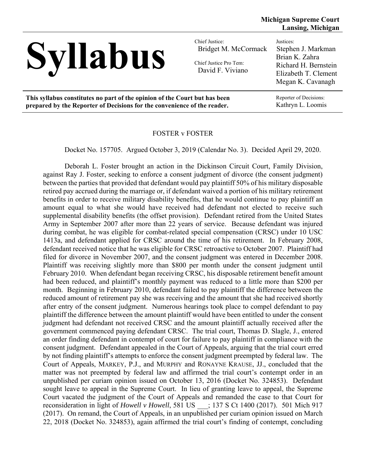

Bridget M. McCormack Chief Justice Pro Tem:

David F. Viviano

Justices: Stephen J. Markman Brian K. Zahra Richard H. Bernstein Elizabeth T. Clement Megan K. Cavanagh

**This syllabus constitutes no part of the opinion of the Court but has been prepared by the Reporter of Decisions for the convenience of the reader.** 

Reporter of Decisions: Kathryn L. Loomis

# FOSTER v FOSTER

Docket No. 157705. Argued October 3, 2019 (Calendar No. 3). Decided April 29, 2020.

 Deborah L. Foster brought an action in the Dickinson Circuit Court, Family Division, against Ray J. Foster, seeking to enforce a consent judgment of divorce (the consent judgment) between the parties that provided that defendant would pay plaintiff 50% of his military disposable retired pay accrued during the marriage or, if defendant waived a portion of his military retirement benefits in order to receive military disability benefits, that he would continue to pay plaintiff an amount equal to what she would have received had defendant not elected to receive such supplemental disability benefits (the offset provision). Defendant retired from the United States Army in September 2007 after more than 22 years of service. Because defendant was injured during combat, he was eligible for combat-related special compensation (CRSC) under 10 USC 1413a, and defendant applied for CRSC around the time of his retirement. In February 2008, defendant received notice that he was eligible for CRSC retroactive to October 2007. Plaintiff had filed for divorce in November 2007, and the consent judgment was entered in December 2008. Plaintiff was receiving slightly more than \$800 per month under the consent judgment until February 2010. When defendant began receiving CRSC, his disposable retirement benefit amount had been reduced, and plaintiff's monthly payment was reduced to a little more than \$200 per month. Beginning in February 2010, defendant failed to pay plaintiff the difference between the reduced amount of retirement pay she was receiving and the amount that she had received shortly after entry of the consent judgment. Numerous hearings took place to compel defendant to pay plaintiff the difference between the amount plaintiff would have been entitled to under the consent judgment had defendant not received CRSC and the amount plaintiff actually received after the government commenced paying defendant CRSC. The trial court, Thomas D. Slagle, J., entered an order finding defendant in contempt of court for failure to pay plaintiff in compliance with the consent judgment. Defendant appealed in the Court of Appeals, arguing that the trial court erred by not finding plaintiff's attempts to enforce the consent judgment preempted by federal law. The Court of Appeals, MARKEY, P.J., and MURPHY and RONAYNE KRAUSE, JJ., concluded that the matter was not preempted by federal law and affirmed the trial court's contempt order in an unpublished per curiam opinion issued on October 13, 2016 (Docket No. 324853). Defendant sought leave to appeal in the Supreme Court. In lieu of granting leave to appeal, the Supreme Court vacated the judgment of the Court of Appeals and remanded the case to that Court for reconsideration in light of *Howell v Howell*, 581 US \_\_\_; 137 S Ct 1400 (2017). 501 Mich 917 (2017). On remand, the Court of Appeals, in an unpublished per curiam opinion issued on March 22, 2018 (Docket No. 324853), again affirmed the trial court's finding of contempt, concluding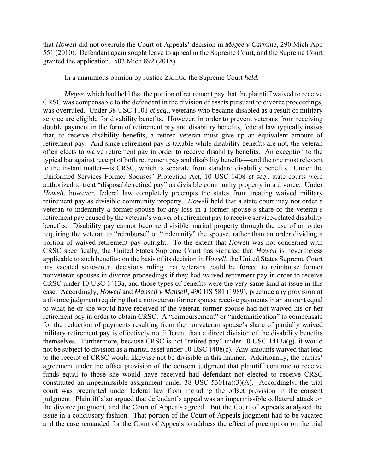that *Howell* did not overrule the Court of Appeals' decision in *Megee v Carmine*, 290 Mich App 551 (2010). Defendant again sought leave to appeal in the Supreme Court, and the Supreme Court granted the application. 503 Mich 892 (2018).

In a unanimous opinion by Justice ZAHRA, the Supreme Court *held*:

*Megee*, which had held that the portion of retirement pay that the plaintiff waived to receive CRSC was compensable to the defendant in the division of assets pursuant to divorce proceedings, was overruled. Under 38 USC 1101 *et seq*., veterans who became disabled as a result of military service are eligible for disability benefits. However, in order to prevent veterans from receiving double payment in the form of retirement pay and disability benefits, federal law typically insists that, to receive disability benefits, a retired veteran must give up an equivalent amount of retirement pay. And since retirement pay is taxable while disability benefits are not, the veteran often elects to waive retirement pay in order to receive disability benefits. An exception to the typical bar against receipt of both retirement pay and disability benefits—and the one most relevant to the instant matter—is CRSC, which is separate from standard disability benefits. Under the Uniformed Services Former Spouses' Protection Act, 10 USC 1408 *et seq*., state courts were authorized to treat "disposable retired pay" as divisible community property in a divorce. Under *Howell*, however, federal law completely preempts the states from treating waived military retirement pay as divisible community property. *Howell* held that a state court may not order a veteran to indemnify a former spouse for any loss in a former spouse's share of the veteran's retirement pay caused by the veteran's waiver of retirement pay to receive service-related disability benefits. Disability pay cannot become divisible marital property through the use of an order requiring the veteran to "reimburse" or "indemnify" the spouse, rather than an order dividing a portion of waived retirement pay outright. To the extent that *Howell* was not concerned with CRSC specifically, the United States Supreme Court has signaled that *Howell* is nevertheless applicable to such benefits: on the basis of its decision in *Howell*, the United States Supreme Court has vacated state-court decisions ruling that veterans could be forced to reimburse former nonveteran spouses in divorce proceedings if they had waived retirement pay in order to receive CRSC under 10 USC 1413a, and those types of benefits were the very same kind at issue in this case. Accordingly, *Howell* and *Mansell v Mansell*, 490 US 581 (1989), preclude any provision of a divorce judgment requiring that a nonveteran former spouse receive payments in an amount equal to what he or she would have received if the veteran former spouse had not waived his or her retirement pay in order to obtain CRSC. A "reimbursement" or "indemnification" to compensate for the reduction of payments resulting from the nonveteran spouse's share of partially waived military retirement pay is effectively no different than a direct division of the disability benefits themselves. Furthermore, because CRSC is not "retired pay" under 10 USC 1413a(g), it would not be subject to division as a marital asset under 10 USC 1408(c). Any amounts waived that lead to the receipt of CRSC would likewise not be divisible in this manner. Additionally, the parties' agreement under the offset provision of the consent judgment that plaintiff continue to receive funds equal to those she would have received had defendant not elected to receive CRSC constituted an impermissible assignment under 38 USC 5301(a)(3)(A). Accordingly, the trial court was preempted under federal law from including the offset provision in the consent judgment. Plaintiff also argued that defendant's appeal was an impermissible collateral attack on the divorce judgment, and the Court of Appeals agreed. But the Court of Appeals analyzed the issue in a conclusory fashion. That portion of the Court of Appeals judgment had to be vacated and the case remanded for the Court of Appeals to address the effect of preemption on the trial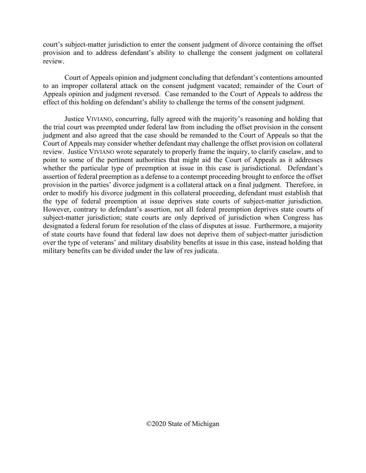court's subject-matter jurisdiction to enter the consent judgment of divorce containing the offset provision and to address defendant's ability to challenge the consent judgment on collateral review.

 Court of Appeals opinion and judgment concluding that defendant's contentions amounted to an improper collateral attack on the consent judgment vacated; remainder of the Court of Appeals opinion and judgment reversed. Case remanded to the Court of Appeals to address the effect of this holding on defendant's ability to challenge the terms of the consent judgment.

 Justice VIVIANO, concurring, fully agreed with the majority's reasoning and holding that the trial court was preempted under federal law from including the offset provision in the consent judgment and also agreed that the case should be remanded to the Court of Appeals so that the Court of Appeals may consider whether defendant may challenge the offset provision on collateral review. Justice VIVIANO wrote separately to properly frame the inquiry, to clarify caselaw, and to point to some of the pertinent authorities that might aid the Court of Appeals as it addresses whether the particular type of preemption at issue in this case is jurisdictional. Defendant's assertion of federal preemption as a defense to a contempt proceeding brought to enforce the offset provision in the parties' divorce judgment is a collateral attack on a final judgment. Therefore, in order to modify his divorce judgment in this collateral proceeding, defendant must establish that the type of federal preemption at issue deprives state courts of subject-matter jurisdiction. However, contrary to defendant's assertion, not all federal preemption deprives state courts of subject-matter jurisdiction; state courts are only deprived of jurisdiction when Congress has designated a federal forum for resolution of the class of disputes at issue. Furthermore, a majority of state courts have found that federal law does not deprive them of subject-matter jurisdiction over the type of veterans' and military disability benefits at issue in this case, instead holding that military benefits can be divided under the law of res judicata.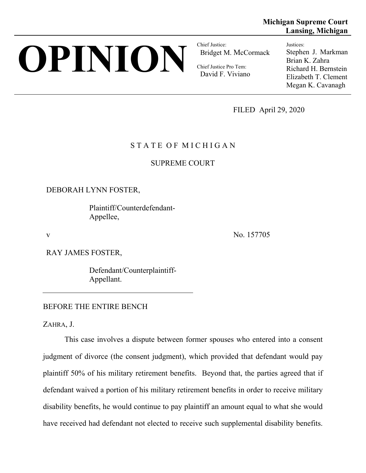# **OPINION Chief Justice:**

Bridget M. McCormack

Chief Justice Pro Tem: David F. Viviano **Lansing, Michigan** Justices: Stephen J. Markman Brian K. Zahra

**Michigan Supreme Court** 

Richard H. Bernstein Elizabeth T. Clement Megan K. Cavanagh

FILED April 29, 2020

# STATE OF MICHIGAN

SUPREME COURT

DEBORAH LYNN FOSTER,

 Plaintiff/Counterdefendant-Appellee,

v No. 157705

RAY JAMES FOSTER,

 Defendant/Counterplaintiff-Appellant.

## BEFORE THE ENTIRE BENCH

ZAHRA, J.

This case involves a dispute between former spouses who entered into a consent judgment of divorce (the consent judgment), which provided that defendant would pay plaintiff 50% of his military retirement benefits. Beyond that, the parties agreed that if defendant waived a portion of his military retirement benefits in order to receive military disability benefits, he would continue to pay plaintiff an amount equal to what she would have received had defendant not elected to receive such supplemental disability benefits.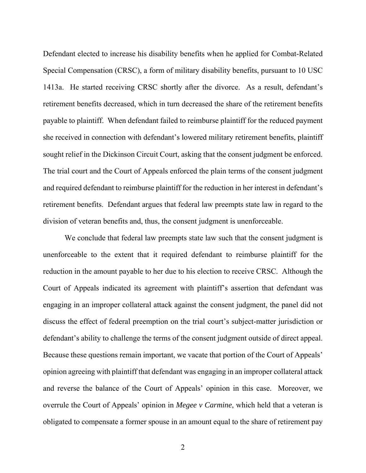Defendant elected to increase his disability benefits when he applied for Combat-Related Special Compensation (CRSC), a form of military disability benefits, pursuant to 10 USC 1413a. He started receiving CRSC shortly after the divorce. As a result, defendant's retirement benefits decreased, which in turn decreased the share of the retirement benefits payable to plaintiff. When defendant failed to reimburse plaintiff for the reduced payment she received in connection with defendant's lowered military retirement benefits, plaintiff sought relief in the Dickinson Circuit Court, asking that the consent judgment be enforced. The trial court and the Court of Appeals enforced the plain terms of the consent judgment and required defendant to reimburse plaintiff for the reduction in her interest in defendant's retirement benefits. Defendant argues that federal law preempts state law in regard to the division of veteran benefits and, thus, the consent judgment is unenforceable.

We conclude that federal law preempts state law such that the consent judgment is unenforceable to the extent that it required defendant to reimburse plaintiff for the reduction in the amount payable to her due to his election to receive CRSC. Although the Court of Appeals indicated its agreement with plaintiff's assertion that defendant was engaging in an improper collateral attack against the consent judgment, the panel did not discuss the effect of federal preemption on the trial court's subject-matter jurisdiction or defendant's ability to challenge the terms of the consent judgment outside of direct appeal. Because these questions remain important, we vacate that portion of the Court of Appeals' opinion agreeing with plaintiff that defendant was engaging in an improper collateral attack and reverse the balance of the Court of Appeals' opinion in this case. Moreover, we overrule the Court of Appeals' opinion in *Megee v Carmine*, which held that a veteran is obligated to compensate a former spouse in an amount equal to the share of retirement pay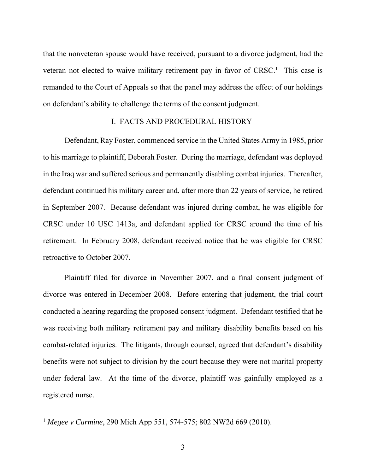that the nonveteran spouse would have received, pursuant to a divorce judgment, had the veteran not elected to waive military retirement pay in favor of CRSC.<sup>1</sup> This case is remanded to the Court of Appeals so that the panel may address the effect of our holdings on defendant's ability to challenge the terms of the consent judgment.

## I. FACTS AND PROCEDURAL HISTORY

Defendant, Ray Foster, commenced service in the United States Army in 1985, prior to his marriage to plaintiff, Deborah Foster. During the marriage, defendant was deployed in the Iraq war and suffered serious and permanently disabling combat injuries. Thereafter, defendant continued his military career and, after more than 22 years of service, he retired in September 2007. Because defendant was injured during combat, he was eligible for CRSC under 10 USC 1413a, and defendant applied for CRSC around the time of his retirement. In February 2008, defendant received notice that he was eligible for CRSC retroactive to October 2007.

Plaintiff filed for divorce in November 2007, and a final consent judgment of divorce was entered in December 2008. Before entering that judgment, the trial court conducted a hearing regarding the proposed consent judgment. Defendant testified that he was receiving both military retirement pay and military disability benefits based on his combat-related injuries. The litigants, through counsel, agreed that defendant's disability benefits were not subject to division by the court because they were not marital property under federal law. At the time of the divorce, plaintiff was gainfully employed as a registered nurse.

<sup>1</sup> *Megee v Carmine*, 290 Mich App 551, 574-575; 802 NW2d 669 (2010).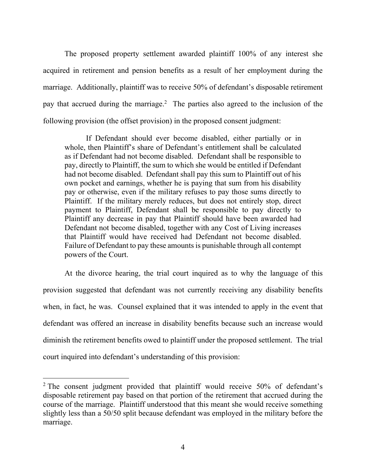The proposed property settlement awarded plaintiff 100% of any interest she acquired in retirement and pension benefits as a result of her employment during the marriage. Additionally, plaintiff was to receive 50% of defendant's disposable retirement pay that accrued during the marriage.<sup>2</sup> The parties also agreed to the inclusion of the following provision (the offset provision) in the proposed consent judgment:

 If Defendant should ever become disabled, either partially or in whole, then Plaintiff's share of Defendant's entitlement shall be calculated as if Defendant had not become disabled. Defendant shall be responsible to pay, directly to Plaintiff, the sum to which she would be entitled if Defendant had not become disabled. Defendant shall pay this sum to Plaintiff out of his own pocket and earnings, whether he is paying that sum from his disability pay or otherwise, even if the military refuses to pay those sums directly to Plaintiff. If the military merely reduces, but does not entirely stop, direct payment to Plaintiff, Defendant shall be responsible to pay directly to Plaintiff any decrease in pay that Plaintiff should have been awarded had Defendant not become disabled, together with any Cost of Living increases that Plaintiff would have received had Defendant not become disabled. Failure of Defendant to pay these amounts is punishable through all contempt powers of the Court.

At the divorce hearing, the trial court inquired as to why the language of this provision suggested that defendant was not currently receiving any disability benefits when, in fact, he was. Counsel explained that it was intended to apply in the event that defendant was offered an increase in disability benefits because such an increase would diminish the retirement benefits owed to plaintiff under the proposed settlement. The trial court inquired into defendant's understanding of this provision:

<sup>&</sup>lt;sup>2</sup> The consent judgment provided that plaintiff would receive 50% of defendant's disposable retirement pay based on that portion of the retirement that accrued during the course of the marriage. Plaintiff understood that this meant she would receive something slightly less than a 50/50 split because defendant was employed in the military before the marriage.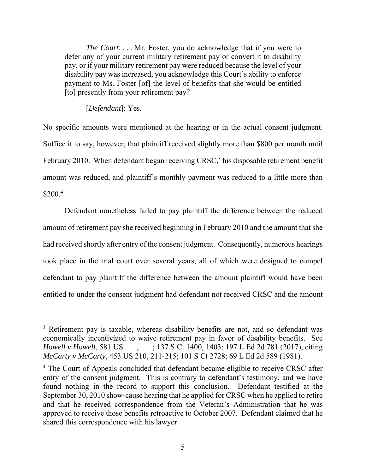*The Court*: . . . Mr. Foster, you do acknowledge that if you were to defer any of your current military retirement pay or convert it to disability pay, or if your military retirement pay were reduced because the level of your disability pay was increased, you acknowledge this Court's ability to enforce payment to Ms. Foster [of] the level of benefits that she would be entitled [to] presently from your retirement pay?

## [*Defendant*]: Yes.

 $\overline{a}$ 

No specific amounts were mentioned at the hearing or in the actual consent judgment. Suffice it to say, however, that plaintiff received slightly more than \$800 per month until February 2010. When defendant began receiving CRSC, $3$  his disposable retirement benefit amount was reduced, and plaintiff's monthly payment was reduced to a little more than  $$200.<sup>4</sup>$ 

Defendant nonetheless failed to pay plaintiff the difference between the reduced amount of retirement pay she received beginning in February 2010 and the amount that she had received shortly after entry of the consent judgment. Consequently, numerous hearings took place in the trial court over several years, all of which were designed to compel defendant to pay plaintiff the difference between the amount plaintiff would have been entitled to under the consent judgment had defendant not received CRSC and the amount

<sup>&</sup>lt;sup>3</sup> Retirement pay is taxable, whereas disability benefits are not, and so defendant was economically incentivized to waive retirement pay in favor of disability benefits. See *Howell v Howell*, 581 US \_\_\_, \_\_\_; 137 S Ct 1400, 1403; 197 L Ed 2d 781 (2017), citing *McCarty v McCarty*, 453 US 210, 211-215; 101 S Ct 2728; 69 L Ed 2d 589 (1981).

<sup>&</sup>lt;sup>4</sup> The Court of Appeals concluded that defendant became eligible to receive CRSC after entry of the consent judgment. This is contrary to defendant's testimony, and we have found nothing in the record to support this conclusion. Defendant testified at the September 30, 2010 show-cause hearing that he applied for CRSC when he applied to retire and that he received correspondence from the Veteran's Administration that he was approved to receive those benefits retroactive to October 2007. Defendant claimed that he shared this correspondence with his lawyer.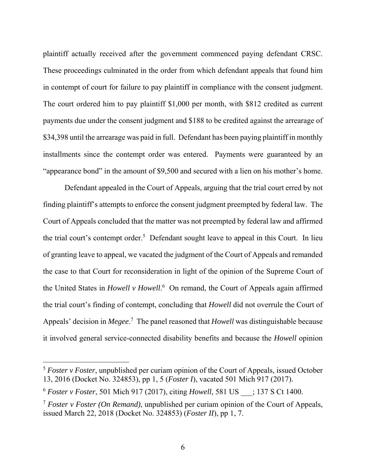plaintiff actually received after the government commenced paying defendant CRSC. These proceedings culminated in the order from which defendant appeals that found him in contempt of court for failure to pay plaintiff in compliance with the consent judgment. The court ordered him to pay plaintiff \$1,000 per month, with \$812 credited as current payments due under the consent judgment and \$188 to be credited against the arrearage of \$34,398 until the arrearage was paid in full. Defendant has been paying plaintiff in monthly installments since the contempt order was entered. Payments were guaranteed by an "appearance bond" in the amount of \$9,500 and secured with a lien on his mother's home.

Defendant appealed in the Court of Appeals, arguing that the trial court erred by not finding plaintiff's attempts to enforce the consent judgment preempted by federal law. The Court of Appeals concluded that the matter was not preempted by federal law and affirmed the trial court's contempt order.<sup>5</sup> Defendant sought leave to appeal in this Court. In lieu of granting leave to appeal, we vacated the judgment of the Court of Appeals and remanded the case to that Court for reconsideration in light of the opinion of the Supreme Court of the United States in *Howell v Howell*. 6 On remand, the Court of Appeals again affirmed the trial court's finding of contempt, concluding that *Howell* did not overrule the Court of Appeals' decision in *Megee*. 7 The panel reasoned that *Howell* was distinguishable because it involved general service-connected disability benefits and because the *Howell* opinion

<sup>&</sup>lt;sup>5</sup> *Foster v Foster*, unpublished per curiam opinion of the Court of Appeals, issued October 13, 2016 (Docket No. 324853), pp 1, 5 (*Foster I*), vacated 501 Mich 917 (2017).

<sup>6</sup> *Foster v Foster*, 501 Mich 917 (2017), citing *Howell*, 581 US \_\_\_; 137 S Ct 1400.

<sup>7</sup> *Foster v Foster (On Remand)*, unpublished per curiam opinion of the Court of Appeals, issued March 22, 2018 (Docket No. 324853) (*Foster II*), pp 1, 7.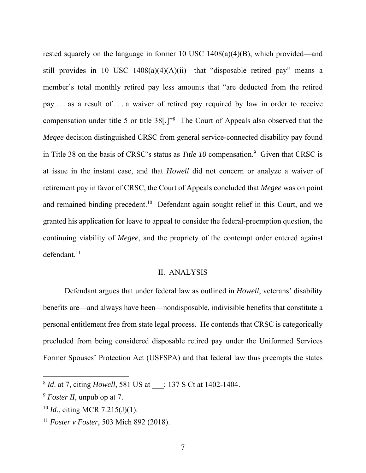rested squarely on the language in former 10 USC 1408(a)(4)(B), which provided—and still provides in 10 USC  $1408(a)(4)(A)(ii)$ —that "disposable retired pay" means a member's total monthly retired pay less amounts that "are deducted from the retired pay . . . as a result of . . . a waiver of retired pay required by law in order to receive compensation under title 5 or title 38[.]"8 The Court of Appeals also observed that the *Megee* decision distinguished CRSC from general service-connected disability pay found in Title 38 on the basis of CRSC's status as *Title 10* compensation.<sup>9</sup> Given that CRSC is at issue in the instant case, and that *Howell* did not concern or analyze a waiver of retirement pay in favor of CRSC, the Court of Appeals concluded that *Megee* was on point and remained binding precedent.<sup>10</sup> Defendant again sought relief in this Court, and we granted his application for leave to appeal to consider the federal-preemption question, the continuing viability of *Megee*, and the propriety of the contempt order entered against  $defendant.$ <sup>11</sup>

#### II. ANALYSIS

Defendant argues that under federal law as outlined in *Howell*, veterans' disability benefits are—and always have been—nondisposable, indivisible benefits that constitute a personal entitlement free from state legal process. He contends that CRSC is categorically precluded from being considered disposable retired pay under the Uniformed Services Former Spouses' Protection Act (USFSPA) and that federal law thus preempts the states

<sup>8</sup> *Id*. at 7, citing *Howell*, 581 US at \_\_\_; 137 S Ct at 1402-1404.

<sup>9</sup> *Foster II*, unpub op at 7.

<sup>10</sup> *Id*., citing MCR 7.215(J)(1).

<sup>11</sup> *Foster v Foster*, 503 Mich 892 (2018).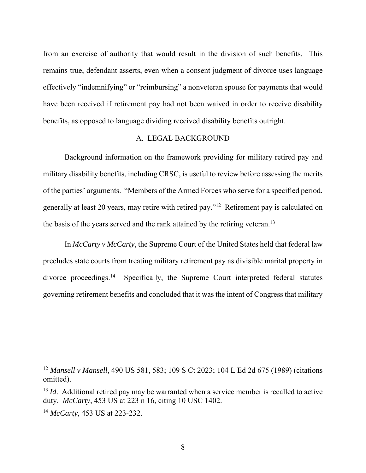from an exercise of authority that would result in the division of such benefits. This remains true, defendant asserts, even when a consent judgment of divorce uses language effectively "indemnifying" or "reimbursing" a nonveteran spouse for payments that would have been received if retirement pay had not been waived in order to receive disability benefits, as opposed to language dividing received disability benefits outright.

# A. LEGAL BACKGROUND

Background information on the framework providing for military retired pay and military disability benefits, including CRSC, is useful to review before assessing the merits of the parties' arguments. "Members of the Armed Forces who serve for a specified period, generally at least 20 years, may retire with retired pay."12 Retirement pay is calculated on the basis of the years served and the rank attained by the retiring veteran.<sup>13</sup>

In *McCarty v McCarty*, the Supreme Court of the United States held that federal law precludes state courts from treating military retirement pay as divisible marital property in divorce proceedings.14 Specifically, the Supreme Court interpreted federal statutes governing retirement benefits and concluded that it was the intent of Congress that military

<sup>12</sup> *Mansell v Mansell*, 490 US 581, 583; 109 S Ct 2023; 104 L Ed 2d 675 (1989) (citations omitted).

<sup>&</sup>lt;sup>13</sup> *Id.* Additional retired pay may be warranted when a service member is recalled to active duty. *McCarty*, 453 US at 223 n 16, citing 10 USC 1402.

<sup>14</sup> *McCarty*, 453 US at 223-232.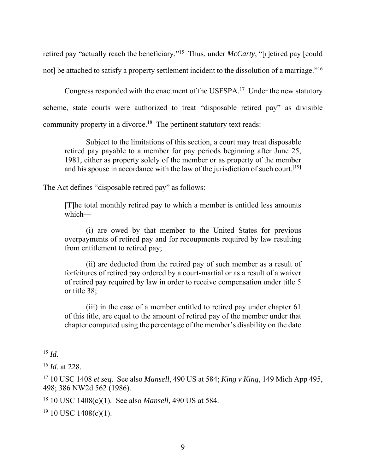retired pay "actually reach the beneficiary."15 Thus, under *McCarty*, "[r]etired pay [could not] be attached to satisfy a property settlement incident to the dissolution of a marriage."<sup>16</sup>

Congress responded with the enactment of the USFSPA.17 Under the new statutory scheme, state courts were authorized to treat "disposable retired pay" as divisible community property in a divorce.<sup>18</sup> The pertinent statutory text reads:

 Subject to the limitations of this section, a court may treat disposable retired pay payable to a member for pay periods beginning after June 25, 1981, either as property solely of the member or as property of the member and his spouse in accordance with the law of the jurisdiction of such court.<sup>[19]</sup>

The Act defines "disposable retired pay" as follows:

[T]he total monthly retired pay to which a member is entitled less amounts which—

 (i) are owed by that member to the United States for previous overpayments of retired pay and for recoupments required by law resulting from entitlement to retired pay;

 (ii) are deducted from the retired pay of such member as a result of forfeitures of retired pay ordered by a court-martial or as a result of a waiver of retired pay required by law in order to receive compensation under title 5 or title 38;

 (iii) in the case of a member entitled to retired pay under chapter 61 of this title, are equal to the amount of retired pay of the member under that chapter computed using the percentage of the member's disability on the date

 $\overline{a}$  $^{15}$  *Id*.

<sup>16</sup> *Id*. at 228.

<sup>17 10</sup> USC 1408 *et seq*. See also *Mansell*, 490 US at 584; *King v King*, 149 Mich App 495, 498; 386 NW2d 562 (1986).

<sup>18 10</sup> USC 1408(c)(1). See also *Mansell*, 490 US at 584.

 $19$  10 USC 1408(c)(1).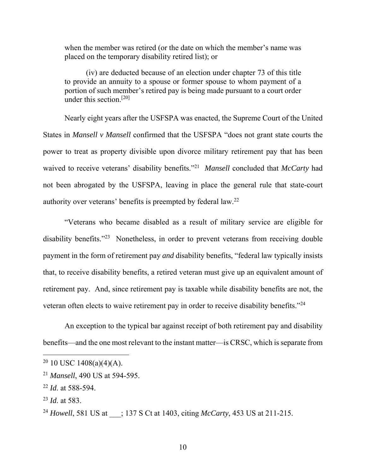when the member was retired (or the date on which the member's name was placed on the temporary disability retired list); or

 (iv) are deducted because of an election under chapter 73 of this title to provide an annuity to a spouse or former spouse to whom payment of a portion of such member's retired pay is being made pursuant to a court order under this section.[20]

Nearly eight years after the USFSPA was enacted, the Supreme Court of the United States in *Mansell v Mansell* confirmed that the USFSPA "does not grant state courts the power to treat as property divisible upon divorce military retirement pay that has been waived to receive veterans' disability benefits."21 *Mansell* concluded that *McCarty* had not been abrogated by the USFSPA, leaving in place the general rule that state-court authority over veterans' benefits is preempted by federal law.22

"Veterans who became disabled as a result of military service are eligible for disability benefits."<sup>23</sup> Nonetheless, in order to prevent veterans from receiving double payment in the form of retirement pay *and* disability benefits, "federal law typically insists that, to receive disability benefits, a retired veteran must give up an equivalent amount of retirement pay. And, since retirement pay is taxable while disability benefits are not, the veteran often elects to waive retirement pay in order to receive disability benefits."24

An exception to the typical bar against receipt of both retirement pay and disability benefits—and the one most relevant to the instant matter—is CRSC, which is separate from

 $20$  10 USC 1408(a)(4)(A).

<sup>21</sup> *Mansell*, 490 US at 594-595.

<sup>22</sup> *Id*. at 588-594.

<sup>23</sup> *Id*. at 583.

<sup>&</sup>lt;sup>24</sup> *Howell*, 581 US at : 137 S Ct at 1403, citing *McCarty*, 453 US at 211-215.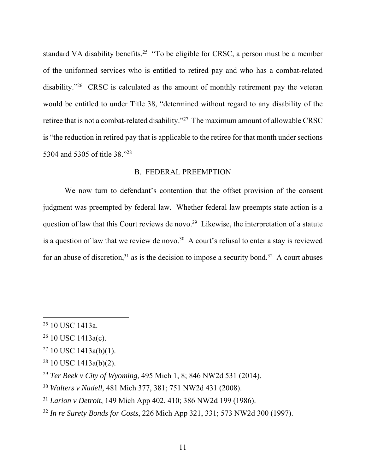standard VA disability benefits.<sup>25</sup> "To be eligible for CRSC, a person must be a member of the uniformed services who is entitled to retired pay and who has a combat-related disability."<sup>26</sup> CRSC is calculated as the amount of monthly retirement pay the veteran would be entitled to under Title 38, "determined without regard to any disability of the retiree that is not a combat-related disability."27 The maximum amount of allowable CRSC is "the reduction in retired pay that is applicable to the retiree for that month under sections 5304 and 5305 of title 38."28

# B. FEDERAL PREEMPTION

We now turn to defendant's contention that the offset provision of the consent judgment was preempted by federal law. Whether federal law preempts state action is a question of law that this Court reviews de novo.<sup>29</sup> Likewise, the interpretation of a statute is a question of law that we review de novo.<sup>30</sup> A court's refusal to enter a stay is reviewed for an abuse of discretion,<sup>31</sup> as is the decision to impose a security bond.<sup>32</sup> A court abuses

- $27$  10 USC 1413a(b)(1).
- $28$  10 USC 1413a(b)(2).

- <sup>30</sup> *Walters v Nadell*, 481 Mich 377, 381; 751 NW2d 431 (2008).
- <sup>31</sup> *Larion v Detroit*, 149 Mich App 402, 410; 386 NW2d 199 (1986).
- <sup>32</sup> *In re Surety Bonds for Costs*, 226 Mich App 321, 331; 573 NW2d 300 (1997).

<sup>25 10</sup> USC 1413a.

 $26$  10 USC 1413a(c).

<sup>29</sup> *Ter Beek v City of Wyoming*, 495 Mich 1, 8; 846 NW2d 531 (2014).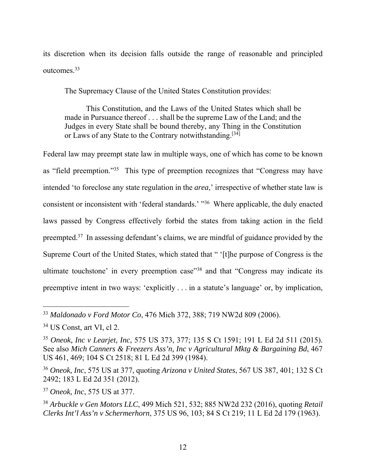its discretion when its decision falls outside the range of reasonable and principled outcomes.33

The Supremacy Clause of the United States Constitution provides:

 This Constitution, and the Laws of the United States which shall be made in Pursuance thereof . . . shall be the supreme Law of the Land; and the Judges in every State shall be bound thereby, any Thing in the Constitution or Laws of any State to the Contrary notwithstanding.<sup>[34]</sup>

Federal law may preempt state law in multiple ways, one of which has come to be known as "field preemption."35 This type of preemption recognizes that "Congress may have intended 'to foreclose any state regulation in the *area*,' irrespective of whether state law is consistent or inconsistent with 'federal standards.' "36 Where applicable, the duly enacted laws passed by Congress effectively forbid the states from taking action in the field preempted.37 In assessing defendant's claims, we are mindful of guidance provided by the Supreme Court of the United States, which stated that " '[t]he purpose of Congress is the ultimate touchstone' in every preemption case"<sup>38</sup> and that "Congress may indicate its preemptive intent in two ways: 'explicitly . . . in a statute's language' or, by implication,

<sup>33</sup> *Maldonado v Ford Motor Co*, 476 Mich 372, 388; 719 NW2d 809 (2006).

<sup>34</sup> US Const, art VI, cl 2.

<sup>35</sup> *Oneok, Inc v Learjet, Inc*, 575 US 373, 377; 135 S Ct 1591; 191 L Ed 2d 511 (2015). See also *Mich Canners & Freezers Ass'n, Inc v Agricultural Mktg & Bargaining Bd*, 467 US 461, 469; 104 S Ct 2518; 81 L Ed 2d 399 (1984).

<sup>36</sup> *Oneok, Inc*, 575 US at 377, quoting *Arizona v United States*, 567 US 387, 401; 132 S Ct 2492; 183 L Ed 2d 351 (2012).

<sup>37</sup> *Oneok, Inc*, 575 US at 377.

<sup>38</sup> *Arbuckle v Gen Motors LLC*, 499 Mich 521, 532; 885 NW2d 232 (2016), quoting *Retail Clerks Int'l Ass'n v Schermerhorn*, 375 US 96, 103; 84 S Ct 219; 11 L Ed 2d 179 (1963).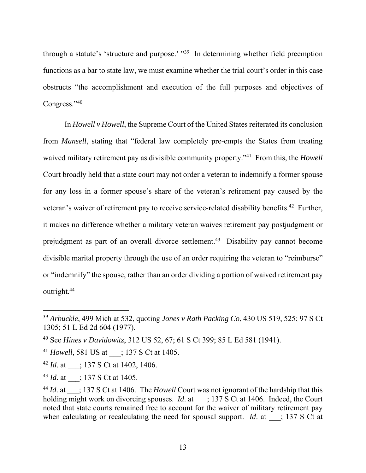through a statute's 'structure and purpose.' "39 In determining whether field preemption functions as a bar to state law, we must examine whether the trial court's order in this case obstructs "the accomplishment and execution of the full purposes and objectives of Congress."40

In *Howell v Howell*, the Supreme Court of the United States reiterated its conclusion from *Mansell*, stating that "federal law completely pre-empts the States from treating waived military retirement pay as divisible community property."<sup>41</sup> From this, the *Howell* Court broadly held that a state court may not order a veteran to indemnify a former spouse for any loss in a former spouse's share of the veteran's retirement pay caused by the veteran's waiver of retirement pay to receive service-related disability benefits.<sup>42</sup> Further, it makes no difference whether a military veteran waives retirement pay postjudgment or prejudgment as part of an overall divorce settlement.43 Disability pay cannot become divisible marital property through the use of an order requiring the veteran to "reimburse" or "indemnify" the spouse, rather than an order dividing a portion of waived retirement pay outright.44

<sup>39</sup> *Arbuckle*, 499 Mich at 532, quoting *Jones v Rath Packing Co*, 430 US 519, 525; 97 S Ct 1305; 51 L Ed 2d 604 (1977).

<sup>40</sup> See *Hines v Davidowitz*, 312 US 52, 67; 61 S Ct 399; 85 L Ed 581 (1941).

<sup>&</sup>lt;sup>41</sup> *Howell*, 581 US at \_\_\_; 137 S Ct at 1405.

<sup>&</sup>lt;sup>42</sup> *Id.* at : 137 S Ct at 1402, 1406.

<sup>&</sup>lt;sup>43</sup> *Id.* at : 137 S Ct at 1405.

<sup>&</sup>lt;sup>44</sup> *Id.* at : 137 S Ct at 1406. The *Howell* Court was not ignorant of the hardship that this holding might work on divorcing spouses. *Id.* at  $\qquad$ ; 137 S Ct at 1406. Indeed, the Court noted that state courts remained free to account for the waiver of military retirement pay when calculating or recalculating the need for spousal support. *Id.* at  $\cdot$  ; 137 S Ct at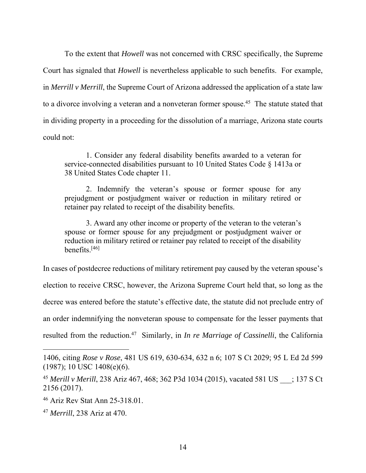To the extent that *Howell* was not concerned with CRSC specifically, the Supreme Court has signaled that *Howell* is nevertheless applicable to such benefits. For example, in *Merrill v Merrill*, the Supreme Court of Arizona addressed the application of a state law to a divorce involving a veteran and a nonveteran former spouse.<sup>45</sup> The statute stated that in dividing property in a proceeding for the dissolution of a marriage, Arizona state courts could not:

 1. Consider any federal disability benefits awarded to a veteran for service-connected disabilities pursuant to 10 United States Code § 1413a or 38 United States Code chapter 11.

 2. Indemnify the veteran's spouse or former spouse for any prejudgment or postjudgment waiver or reduction in military retired or retainer pay related to receipt of the disability benefits.

 3. Award any other income or property of the veteran to the veteran's spouse or former spouse for any prejudgment or postjudgment waiver or reduction in military retired or retainer pay related to receipt of the disability benefits.[46]

In cases of postdecree reductions of military retirement pay caused by the veteran spouse's

election to receive CRSC, however, the Arizona Supreme Court held that, so long as the

decree was entered before the statute's effective date, the statute did not preclude entry of

an order indemnifying the nonveteran spouse to compensate for the lesser payments that

resulted from the reduction.47 Similarly, in *In re Marriage of Cassinelli*, the California

<sup>1406,</sup> citing *Rose v Rose*, 481 US 619, 630-634, 632 n 6; 107 S Ct 2029; 95 L Ed 2d 599 (1987); 10 USC 1408(e)(6).

<sup>45</sup> *Merill v Merill*, 238 Ariz 467, 468; 362 P3d 1034 (2015), vacated 581 US \_\_\_; 137 S Ct 2156 (2017).

<sup>46</sup> Ariz Rev Stat Ann 25-318.01.

<sup>47</sup> *Merrill*, 238 Ariz at 470.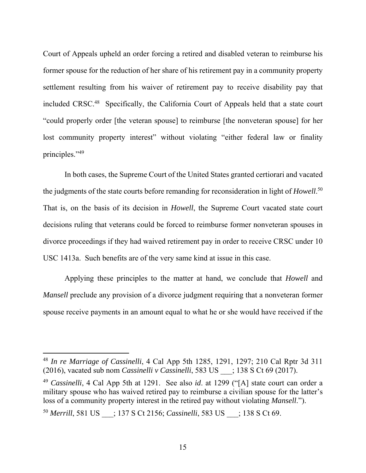Court of Appeals upheld an order forcing a retired and disabled veteran to reimburse his former spouse for the reduction of her share of his retirement pay in a community property settlement resulting from his waiver of retirement pay to receive disability pay that included CRSC.48 Specifically, the California Court of Appeals held that a state court "could properly order [the veteran spouse] to reimburse [the nonveteran spouse] for her lost community property interest" without violating "either federal law or finality principles."49

 In both cases, the Supreme Court of the United States granted certiorari and vacated the judgments of the state courts before remanding for reconsideration in light of *Howell*. 50 That is, on the basis of its decision in *Howell*, the Supreme Court vacated state court decisions ruling that veterans could be forced to reimburse former nonveteran spouses in divorce proceedings if they had waived retirement pay in order to receive CRSC under 10 USC 1413a. Such benefits are of the very same kind at issue in this case.

Applying these principles to the matter at hand, we conclude that *Howell* and *Mansell* preclude any provision of a divorce judgment requiring that a nonveteran former spouse receive payments in an amount equal to what he or she would have received if the

<sup>48</sup> *In re Marriage of Cassinelli*, 4 Cal App 5th 1285, 1291, 1297; 210 Cal Rptr 3d 311 (2016), vacated sub nom *Cassinelli v Cassinelli*, 583 US \_\_\_; 138 S Ct 69 (2017).

<sup>49</sup> *Cassinelli*, 4 Cal App 5th at 1291. See also *id*. at 1299 ("[A] state court can order a military spouse who has waived retired pay to reimburse a civilian spouse for the latter's loss of a community property interest in the retired pay without violating *Mansell*.").

<sup>50</sup> *Merrill*, 581 US \_\_\_; 137 S Ct 2156; *Cassinelli*, 583 US \_\_\_; 138 S Ct 69.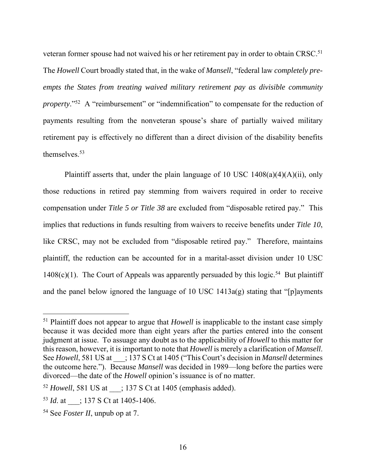veteran former spouse had not waived his or her retirement pay in order to obtain CRSC.<sup>51</sup> The *Howell* Court broadly stated that, in the wake of *Mansell*, "federal law *completely preempts the States from treating waived military retirement pay as divisible community property.*"<sup>52</sup> A "reimbursement" or "indemnification" to compensate for the reduction of payments resulting from the nonveteran spouse's share of partially waived military retirement pay is effectively no different than a direct division of the disability benefits themselves.53

Plaintiff asserts that, under the plain language of 10 USC  $1408(a)(4)(A)(ii)$ , only those reductions in retired pay stemming from waivers required in order to receive compensation under *Title 5 or Title 38* are excluded from "disposable retired pay." This implies that reductions in funds resulting from waivers to receive benefits under *Title 10*, like CRSC, may not be excluded from "disposable retired pay." Therefore, maintains plaintiff, the reduction can be accounted for in a marital-asset division under 10 USC 1408(c)(1). The Court of Appeals was apparently persuaded by this logic.<sup>54</sup> But plaintiff and the panel below ignored the language of 10 USC 1413a(g) stating that "[p]ayments

<sup>51</sup> Plaintiff does not appear to argue that *Howell* is inapplicable to the instant case simply because it was decided more than eight years after the parties entered into the consent judgment at issue. To assuage any doubt as to the applicability of *Howell* to this matter for this reason, however, it is important to note that *Howell* is merely a clarification of *Mansell*. See *Howell*, 581 US at  $\therefore$  137 S Ct at 1405 ("This Court's decision in *Mansell* determines the outcome here."). Because *Mansell* was decided in 1989—long before the parties were divorced—the date of the *Howell* opinion's issuance is of no matter.

<sup>&</sup>lt;sup>52</sup> *Howell*, 581 US at : 137 S Ct at 1405 (emphasis added).

<sup>&</sup>lt;sup>53</sup> *Id.* at : 137 S Ct at 1405-1406.

<sup>54</sup> See *Foster II*, unpub op at 7.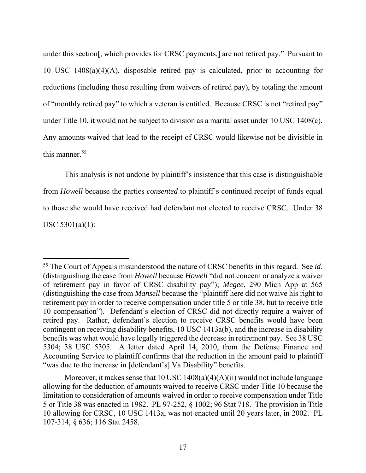under this section[, which provides for CRSC payments,] are not retired pay." Pursuant to 10 USC 1408(a)(4)(A), disposable retired pay is calculated, prior to accounting for reductions (including those resulting from waivers of retired pay), by totaling the amount of "monthly retired pay" to which a veteran is entitled. Because CRSC is not "retired pay" under Title 10, it would not be subject to division as a marital asset under 10 USC 1408(c). Any amounts waived that lead to the receipt of CRSC would likewise not be divisible in this manner.<sup>55</sup>

This analysis is not undone by plaintiff's insistence that this case is distinguishable from *Howell* because the parties *consented* to plaintiff's continued receipt of funds equal to those she would have received had defendant not elected to receive CRSC. Under 38 USC 5301(a)(1):

<sup>55</sup> The Court of Appeals misunderstood the nature of CRSC benefits in this regard. See *id*. (distinguishing the case from *Howell* because *Howell* "did not concern or analyze a waiver of retirement pay in favor of CRSC disability pay"); *Megee*, 290 Mich App at 565 (distinguishing the case from *Mansell* because the "plaintiff here did not waive his right to retirement pay in order to receive compensation under title 5 or title 38, but to receive title 10 compensation"). Defendant's election of CRSC did not directly require a waiver of retired pay. Rather, defendant's election to receive CRSC benefits would have been contingent on receiving disability benefits, 10 USC 1413a(b), and the increase in disability benefits was what would have legally triggered the decrease in retirement pay. See 38 USC 5304; 38 USC 5305. A letter dated April 14, 2010, from the Defense Finance and Accounting Service to plaintiff confirms that the reduction in the amount paid to plaintiff "was due to the increase in [defendant's] Va Disability" benefits.

Moreover, it makes sense that  $10 \text{ USC } 1408(a)(4)(A)(ii)$  would not include language allowing for the deduction of amounts waived to receive CRSC under Title 10 because the limitation to consideration of amounts waived in order to receive compensation under Title 5 or Title 38 was enacted in 1982. PL 97-252, § 1002; 96 Stat 718. The provision in Title 10 allowing for CRSC, 10 USC 1413a, was not enacted until 20 years later, in 2002. PL 107-314, § 636; 116 Stat 2458.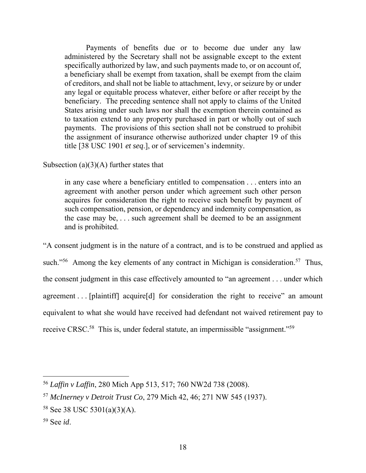Payments of benefits due or to become due under any law administered by the Secretary shall not be assignable except to the extent specifically authorized by law, and such payments made to, or on account of, a beneficiary shall be exempt from taxation, shall be exempt from the claim of creditors, and shall not be liable to attachment, levy, or seizure by or under any legal or equitable process whatever, either before or after receipt by the beneficiary. The preceding sentence shall not apply to claims of the United States arising under such laws nor shall the exemption therein contained as to taxation extend to any property purchased in part or wholly out of such payments. The provisions of this section shall not be construed to prohibit the assignment of insurance otherwise authorized under chapter 19 of this title [38 USC 1901 *et seq*.], or of servicemen's indemnity.

Subsection (a) $(3)(A)$  further states that

in any case where a beneficiary entitled to compensation . . . enters into an agreement with another person under which agreement such other person acquires for consideration the right to receive such benefit by payment of such compensation, pension, or dependency and indemnity compensation, as the case may be, . . . such agreement shall be deemed to be an assignment and is prohibited.

"A consent judgment is in the nature of a contract, and is to be construed and applied as such."<sup>56</sup> Among the key elements of any contract in Michigan is consideration.<sup>57</sup> Thus, the consent judgment in this case effectively amounted to "an agreement . . . under which agreement . . . [plaintiff] acquire[d] for consideration the right to receive" an amount equivalent to what she would have received had defendant not waived retirement pay to receive CRSC.<sup>58</sup> This is, under federal statute, an impermissible "assignment."<sup>59</sup>

<sup>56</sup> *Laffin v Laffin*, 280 Mich App 513, 517; 760 NW2d 738 (2008).

<sup>57</sup> *McInerney v Detroit Trust Co*, 279 Mich 42, 46; 271 NW 545 (1937).

<sup>58</sup> See 38 USC 5301(a)(3)(A).

<sup>59</sup> See *id*.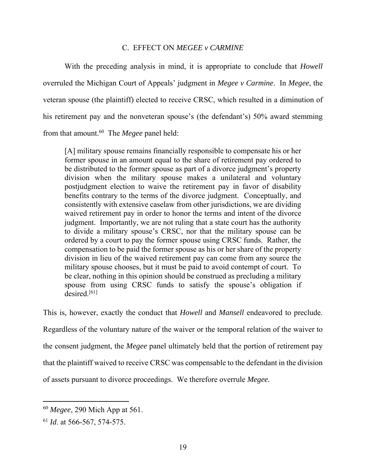## C. EFFECT ON *MEGEE v CARMINE*

With the preceding analysis in mind, it is appropriate to conclude that *Howell*  overruled the Michigan Court of Appeals' judgment in *Megee v Carmine*. In *Megee*, the veteran spouse (the plaintiff) elected to receive CRSC, which resulted in a diminution of his retirement pay and the nonveteran spouse's (the defendant's) 50% award stemming from that amount.60 The *Megee* panel held:

[A] military spouse remains financially responsible to compensate his or her former spouse in an amount equal to the share of retirement pay ordered to be distributed to the former spouse as part of a divorce judgment's property division when the military spouse makes a unilateral and voluntary postjudgment election to waive the retirement pay in favor of disability benefits contrary to the terms of the divorce judgment. Conceptually, and consistently with extensive caselaw from other jurisdictions, we are dividing waived retirement pay in order to honor the terms and intent of the divorce judgment. Importantly, we are not ruling that a state court has the authority to divide a military spouse's CRSC, nor that the military spouse can be ordered by a court to pay the former spouse using CRSC funds. Rather, the compensation to be paid the former spouse as his or her share of the property division in lieu of the waived retirement pay can come from any source the military spouse chooses, but it must be paid to avoid contempt of court. To be clear, nothing in this opinion should be construed as precluding a military spouse from using CRSC funds to satisfy the spouse's obligation if  $desired.<sup>[61]</sup>$ 

This is, however, exactly the conduct that *Howell* and *Mansell* endeavored to preclude. Regardless of the voluntary nature of the waiver or the temporal relation of the waiver to the consent judgment, the *Megee* panel ultimately held that the portion of retirement pay that the plaintiff waived to receive CRSC was compensable to the defendant in the division of assets pursuant to divorce proceedings. We therefore overrule *Megee.*

<sup>60</sup> *Megee*, 290 Mich App at 561.

<sup>61</sup> *Id*. at 566-567, 574-575.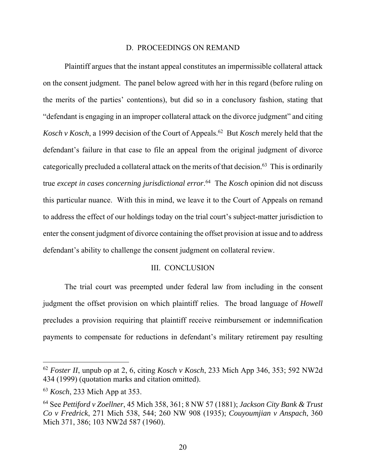#### D. PROCEEDINGS ON REMAND

Plaintiff argues that the instant appeal constitutes an impermissible collateral attack on the consent judgment. The panel below agreed with her in this regard (before ruling on the merits of the parties' contentions), but did so in a conclusory fashion, stating that "defendant is engaging in an improper collateral attack on the divorce judgment" and citing *Kosch v Kosch*, a 1999 decision of the Court of Appeals.<sup>62</sup> But *Kosch* merely held that the defendant's failure in that case to file an appeal from the original judgment of divorce categorically precluded a collateral attack on the merits of that decision.63 This is ordinarily true *except in cases concerning jurisdictional error*. 64 The *Kosch* opinion did not discuss this particular nuance. With this in mind, we leave it to the Court of Appeals on remand to address the effect of our holdings today on the trial court's subject-matter jurisdiction to enter the consent judgment of divorce containing the offset provision at issue and to address defendant's ability to challenge the consent judgment on collateral review.

## III. CONCLUSION

The trial court was preempted under federal law from including in the consent judgment the offset provision on which plaintiff relies. The broad language of *Howell* precludes a provision requiring that plaintiff receive reimbursement or indemnification payments to compensate for reductions in defendant's military retirement pay resulting

<sup>62</sup> *Foster II*, unpub op at 2, 6, citing *Kosch v Kosch*, 233 Mich App 346, 353; 592 NW2d 434 (1999) (quotation marks and citation omitted).

<sup>63</sup> *Kosch*, 233 Mich App at 353.

<sup>64</sup> See *Pettiford v Zoellner*, 45 Mich 358, 361; 8 NW 57 (1881); *Jackson City Bank & Trust Co v Fredrick*, 271 Mich 538, 544; 260 NW 908 (1935); *Couyoumjian v Anspach*, 360 Mich 371, 386; 103 NW2d 587 (1960).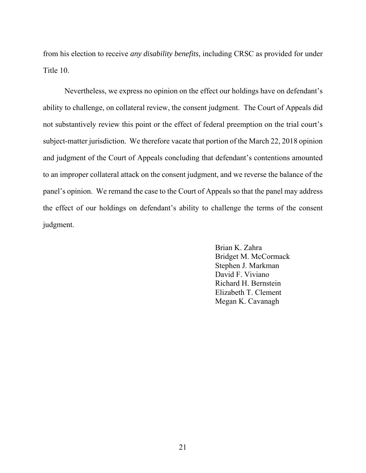from his election to receive *any disability benefits*, including CRSC as provided for under Title 10.

 Nevertheless, we express no opinion on the effect our holdings have on defendant's ability to challenge, on collateral review, the consent judgment. The Court of Appeals did not substantively review this point or the effect of federal preemption on the trial court's subject-matter jurisdiction. We therefore vacate that portion of the March 22, 2018 opinion and judgment of the Court of Appeals concluding that defendant's contentions amounted to an improper collateral attack on the consent judgment, and we reverse the balance of the panel's opinion. We remand the case to the Court of Appeals so that the panel may address the effect of our holdings on defendant's ability to challenge the terms of the consent judgment.

> Brian K. Zahra Bridget M. McCormack Stephen J. Markman David F. Viviano Richard H. Bernstein Elizabeth T. Clement Megan K. Cavanagh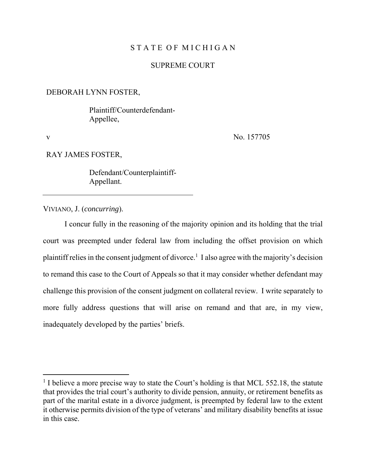## STATE OF MICHIGAN

## SUPREME COURT

#### DEBORAH LYNN FOSTER,

 Plaintiff/Counterdefendant-Appellee,

 $\overline{a}$ 

v No. 157705

RAY JAMES FOSTER,

 Defendant/Counterplaintiff-Appellant.

VIVIANO, J. (*concurring*).

I concur fully in the reasoning of the majority opinion and its holding that the trial court was preempted under federal law from including the offset provision on which plaintiff relies in the consent judgment of divorce.<sup>1</sup> I also agree with the majority's decision to remand this case to the Court of Appeals so that it may consider whether defendant may challenge this provision of the consent judgment on collateral review. I write separately to more fully address questions that will arise on remand and that are, in my view, inadequately developed by the parties' briefs.

<sup>&</sup>lt;sup>1</sup> I believe a more precise way to state the Court's holding is that MCL 552.18, the statute that provides the trial court's authority to divide pension, annuity, or retirement benefits as part of the marital estate in a divorce judgment, is preempted by federal law to the extent it otherwise permits division of the type of veterans' and military disability benefits at issue in this case.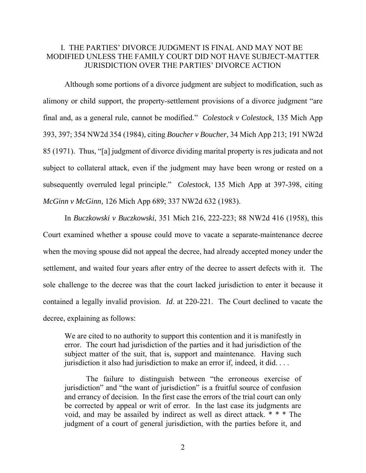# I. THE PARTIES' DIVORCE JUDGMENT IS FINAL AND MAY NOT BE MODIFIED UNLESS THE FAMILY COURT DID NOT HAVE SUBJECT-MATTER JURISDICTION OVER THE PARTIES' DIVORCE ACTION

Although some portions of a divorce judgment are subject to modification, such as alimony or child support, the property-settlement provisions of a divorce judgment "are final and, as a general rule, cannot be modified." *Colestock v Colestock*, 135 Mich App 393, 397; 354 NW2d 354 (1984), citing *Boucher v Boucher*, 34 Mich App 213; 191 NW2d 85 (1971). Thus, "[a] judgment of divorce dividing marital property is res judicata and not subject to collateral attack, even if the judgment may have been wrong or rested on a subsequently overruled legal principle." *Colestock*, 135 Mich App at 397-398, citing *McGinn v McGinn*, 126 Mich App 689; 337 NW2d 632 (1983).

In *Buczkowski v Buczkowski*, 351 Mich 216, 222-223; 88 NW2d 416 (1958), this Court examined whether a spouse could move to vacate a separate-maintenance decree when the moving spouse did not appeal the decree, had already accepted money under the settlement, and waited four years after entry of the decree to assert defects with it. The sole challenge to the decree was that the court lacked jurisdiction to enter it because it contained a legally invalid provision. *Id*. at 220-221. The Court declined to vacate the decree, explaining as follows:

We are cited to no authority to support this contention and it is manifestly in error. The court had jurisdiction of the parties and it had jurisdiction of the subject matter of the suit, that is, support and maintenance. Having such jurisdiction it also had jurisdiction to make an error if, indeed, it did. . . .

The failure to distinguish between "the erroneous exercise of jurisdiction" and "the want of jurisdiction" is a fruitful source of confusion and errancy of decision. In the first case the errors of the trial court can only be corrected by appeal or writ of error. In the last case its judgments are void, and may be assailed by indirect as well as direct attack. \* \* \* The judgment of a court of general jurisdiction, with the parties before it, and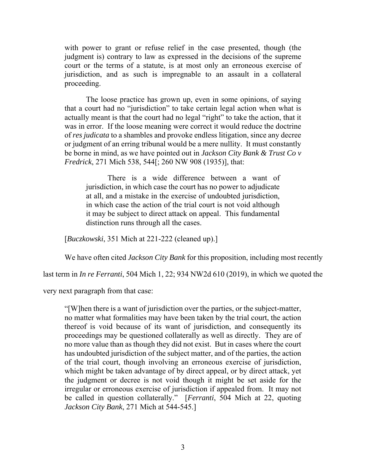with power to grant or refuse relief in the case presented, though (the judgment is) contrary to law as expressed in the decisions of the supreme court or the terms of a statute, is at most only an erroneous exercise of jurisdiction, and as such is impregnable to an assault in a collateral proceeding.

The loose practice has grown up, even in some opinions, of saying that a court had no "jurisdiction" to take certain legal action when what is actually meant is that the court had no legal "right" to take the action, that it was in error. If the loose meaning were correct it would reduce the doctrine of *res judicata* to a shambles and provoke endless litigation, since any decree or judgment of an erring tribunal would be a mere nullity. It must constantly be borne in mind, as we have pointed out in *Jackson City Bank & Trust Co v Fredrick*, 271 Mich 538, 544[; 260 NW 908 (1935)], that:

There is a wide difference between a want of jurisdiction, in which case the court has no power to adjudicate at all, and a mistake in the exercise of undoubted jurisdiction, in which case the action of the trial court is not void although it may be subject to direct attack on appeal. This fundamental distinction runs through all the cases.

[*Buczkowski*, 351 Mich at 221-222 (cleaned up).]

We have often cited *Jackson City Bank* for this proposition, including most recently

last term in *In re Ferranti*, 504 Mich 1, 22; 934 NW2d 610 (2019), in which we quoted the

very next paragraph from that case:

"[W]hen there is a want of jurisdiction over the parties, or the subject-matter, no matter what formalities may have been taken by the trial court, the action thereof is void because of its want of jurisdiction, and consequently its proceedings may be questioned collaterally as well as directly. They are of no more value than as though they did not exist. But in cases where the court has undoubted jurisdiction of the subject matter, and of the parties, the action of the trial court, though involving an erroneous exercise of jurisdiction, which might be taken advantage of by direct appeal, or by direct attack, yet the judgment or decree is not void though it might be set aside for the irregular or erroneous exercise of jurisdiction if appealed from. It may not be called in question collaterally." [*Ferranti*, 504 Mich at 22, quoting *Jackson City Bank*, 271 Mich at 544-545.]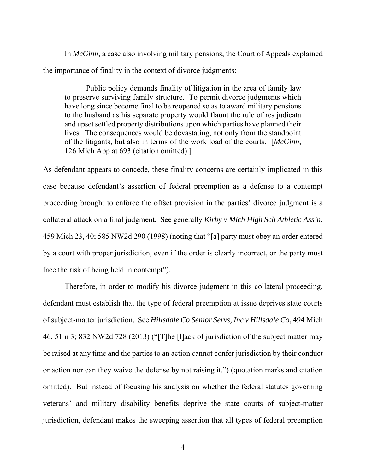In *McGinn*, a case also involving military pensions, the Court of Appeals explained the importance of finality in the context of divorce judgments:

Public policy demands finality of litigation in the area of family law to preserve surviving family structure. To permit divorce judgments which have long since become final to be reopened so as to award military pensions to the husband as his separate property would flaunt the rule of res judicata and upset settled property distributions upon which parties have planned their lives. The consequences would be devastating, not only from the standpoint of the litigants, but also in terms of the work load of the courts. [*McGinn*, 126 Mich App at 693 (citation omitted).]

As defendant appears to concede, these finality concerns are certainly implicated in this case because defendant's assertion of federal preemption as a defense to a contempt proceeding brought to enforce the offset provision in the parties' divorce judgment is a collateral attack on a final judgment. See generally *Kirby v Mich High Sch Athletic Ass'n*, 459 Mich 23, 40; 585 NW2d 290 (1998) (noting that "[a] party must obey an order entered by a court with proper jurisdiction, even if the order is clearly incorrect, or the party must face the risk of being held in contempt").

Therefore, in order to modify his divorce judgment in this collateral proceeding, defendant must establish that the type of federal preemption at issue deprives state courts of subject-matter jurisdiction. See *Hillsdale Co Senior Servs, Inc v Hillsdale Co*, 494 Mich 46, 51 n 3; 832 NW2d 728 (2013) ("[T]he [l]ack of jurisdiction of the subject matter may be raised at any time and the parties to an action cannot confer jurisdiction by their conduct or action nor can they waive the defense by not raising it.") (quotation marks and citation omitted). But instead of focusing his analysis on whether the federal statutes governing veterans' and military disability benefits deprive the state courts of subject-matter jurisdiction, defendant makes the sweeping assertion that all types of federal preemption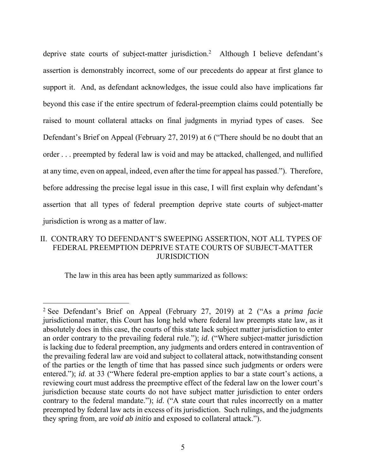deprive state courts of subject-matter jurisdiction.2 Although I believe defendant's assertion is demonstrably incorrect, some of our precedents do appear at first glance to support it. And, as defendant acknowledges, the issue could also have implications far beyond this case if the entire spectrum of federal-preemption claims could potentially be raised to mount collateral attacks on final judgments in myriad types of cases. See Defendant's Brief on Appeal (February 27, 2019) at 6 ("There should be no doubt that an order . . . preempted by federal law is void and may be attacked, challenged, and nullified at any time, even on appeal, indeed, even after the time for appeal has passed."). Therefore, before addressing the precise legal issue in this case, I will first explain why defendant's assertion that all types of federal preemption deprive state courts of subject-matter jurisdiction is wrong as a matter of law.

# II. CONTRARY TO DEFENDANT'S SWEEPING ASSERTION, NOT ALL TYPES OF FEDERAL PREEMPTION DEPRIVE STATE COURTS OF SUBJECT-MATTER **JURISDICTION**

The law in this area has been aptly summarized as follows:

<sup>2</sup> See Defendant's Brief on Appeal (February 27, 2019) at 2 ("As a *prima facie*  jurisdictional matter, this Court has long held where federal law preempts state law, as it absolutely does in this case, the courts of this state lack subject matter jurisdiction to enter an order contrary to the prevailing federal rule."); *id*. ("Where subject-matter jurisdiction is lacking due to federal preemption, any judgments and orders entered in contravention of the prevailing federal law are void and subject to collateral attack, notwithstanding consent of the parties or the length of time that has passed since such judgments or orders were entered."); *id*. at 33 ("Where federal pre-emption applies to bar a state court's actions, a reviewing court must address the preemptive effect of the federal law on the lower court's jurisdiction because state courts do not have subject matter jurisdiction to enter orders contrary to the federal mandate."); *id*. ("A state court that rules incorrectly on a matter preempted by federal law acts in excess of its jurisdiction. Such rulings, and the judgments they spring from, are *void ab initio* and exposed to collateral attack.").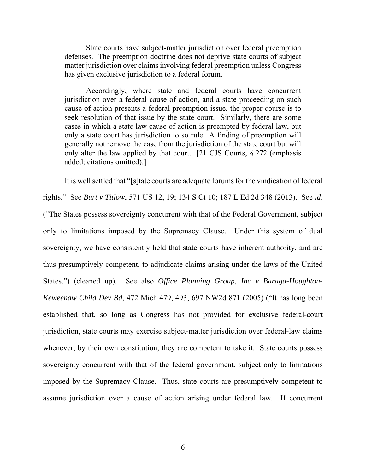State courts have subject-matter jurisdiction over federal preemption defenses. The preemption doctrine does not deprive state courts of subject matter jurisdiction over claims involving federal preemption unless Congress has given exclusive jurisdiction to a federal forum.

Accordingly, where state and federal courts have concurrent jurisdiction over a federal cause of action, and a state proceeding on such cause of action presents a federal preemption issue, the proper course is to seek resolution of that issue by the state court. Similarly, there are some cases in which a state law cause of action is preempted by federal law, but only a state court has jurisdiction to so rule. A finding of preemption will generally not remove the case from the jurisdiction of the state court but will only alter the law applied by that court. [21 CJS Courts,  $\S 272$  (emphasis added; citations omitted).]

It is well settled that "[s]tate courts are adequate forums for the vindication of federal rights." See *Burt v Titlow*, 571 US 12, 19; 134 S Ct 10; 187 L Ed 2d 348 (2013). See *id*. ("The States possess sovereignty concurrent with that of the Federal Government, subject only to limitations imposed by the Supremacy Clause. Under this system of dual sovereignty, we have consistently held that state courts have inherent authority, and are thus presumptively competent, to adjudicate claims arising under the laws of the United States.") (cleaned up). See also *Office Planning Group, Inc v Baraga-Houghton-Keweenaw Child Dev Bd*, 472 Mich 479, 493; 697 NW2d 871 (2005) ("It has long been established that, so long as Congress has not provided for exclusive federal-court jurisdiction, state courts may exercise subject-matter jurisdiction over federal-law claims whenever, by their own constitution, they are competent to take it. State courts possess sovereignty concurrent with that of the federal government, subject only to limitations imposed by the Supremacy Clause. Thus, state courts are presumptively competent to assume jurisdiction over a cause of action arising under federal law. If concurrent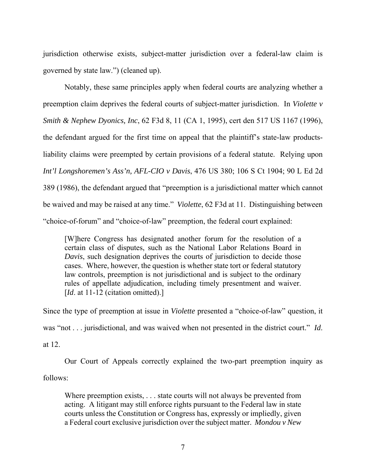jurisdiction otherwise exists, subject-matter jurisdiction over a federal-law claim is governed by state law.") (cleaned up).

Notably, these same principles apply when federal courts are analyzing whether a preemption claim deprives the federal courts of subject-matter jurisdiction. In *Violette v Smith & Nephew Dyonics, Inc*, 62 F3d 8, 11 (CA 1, 1995), cert den 517 US 1167 (1996), the defendant argued for the first time on appeal that the plaintiff's state-law productsliability claims were preempted by certain provisions of a federal statute. Relying upon *Int'l Longshoremen's Ass'n, AFL-CIO v Davis*, 476 US 380; 106 S Ct 1904; 90 L Ed 2d 389 (1986), the defendant argued that "preemption is a jurisdictional matter which cannot be waived and may be raised at any time." *Violette*, 62 F3d at 11. Distinguishing between "choice-of-forum" and "choice-of-law" preemption, the federal court explained:

[W]here Congress has designated another forum for the resolution of a certain class of disputes, such as the National Labor Relations Board in *Davis*, such designation deprives the courts of jurisdiction to decide those cases. Where, however, the question is whether state tort or federal statutory law controls, preemption is not jurisdictional and is subject to the ordinary rules of appellate adjudication, including timely presentment and waiver. [*Id.* at 11-12 (citation omitted).]

Since the type of preemption at issue in *Violette* presented a "choice-of-law" question, it was "not . . . jurisdictional, and was waived when not presented in the district court." *Id*. at 12.

Our Court of Appeals correctly explained the two-part preemption inquiry as follows:

Where preemption exists, . . . state courts will not always be prevented from acting. A litigant may still enforce rights pursuant to the Federal law in state courts unless the Constitution or Congress has, expressly or impliedly, given a Federal court exclusive jurisdiction over the subject matter. *Mondou v New*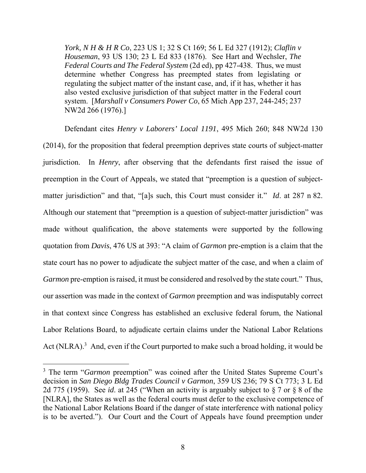*York, N H & H R Co*, 223 US 1; 32 S Ct 169; 56 L Ed 327 (1912); *Claflin v Houseman*, 93 US 130; 23 L Ed 833 (1876). See Hart and Wechsler, *The Federal Courts and The Federal System* (2d ed), pp 427-438. Thus, we must determine whether Congress has preempted states from legislating or regulating the subject matter of the instant case, and, if it has, whether it has also vested exclusive jurisdiction of that subject matter in the Federal court system. [*Marshall v Consumers Power Co*, 65 Mich App 237, 244-245; 237 NW2d 266 (1976).]

Defendant cites *Henry v Laborers' Local 1191*, 495 Mich 260; 848 NW2d 130 (2014), for the proposition that federal preemption deprives state courts of subject-matter jurisdiction. In *Henry*, after observing that the defendants first raised the issue of preemption in the Court of Appeals, we stated that "preemption is a question of subjectmatter jurisdiction" and that, "[a]s such, this Court must consider it." *Id*. at 287 n 82. Although our statement that "preemption is a question of subject-matter jurisdiction" was made without qualification, the above statements were supported by the following quotation from *Davis*, 476 US at 393: "A claim of *Garmon* pre-emption is a claim that the state court has no power to adjudicate the subject matter of the case, and when a claim of *Garmon* pre-emption is raised, it must be considered and resolved by the state court." Thus, our assertion was made in the context of *Garmon* preemption and was indisputably correct in that context since Congress has established an exclusive federal forum, the National Labor Relations Board, to adjudicate certain claims under the National Labor Relations Act (NLRA).<sup>3</sup> And, even if the Court purported to make such a broad holding, it would be

<sup>&</sup>lt;sup>3</sup> The term "*Garmon* preemption" was coined after the United States Supreme Court's decision in *San Diego Bldg Trades Council v Garmon*, 359 US 236; 79 S Ct 773; 3 L Ed 2d 775 (1959). See *id*. at 245 ("When an activity is arguably subject to § 7 or § 8 of the [NLRA], the States as well as the federal courts must defer to the exclusive competence of the National Labor Relations Board if the danger of state interference with national policy is to be averted."). Our Court and the Court of Appeals have found preemption under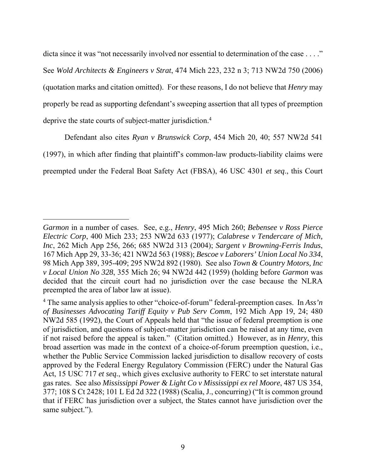dicta since it was "not necessarily involved nor essential to determination of the case . . . ." See *Wold Architects & Engineers v Strat*, 474 Mich 223, 232 n 3; 713 NW2d 750 (2006) (quotation marks and citation omitted). For these reasons, I do not believe that *Henry* may properly be read as supporting defendant's sweeping assertion that all types of preemption deprive the state courts of subject-matter jurisdiction.<sup>4</sup>

Defendant also cites *Ryan v Brunswick Corp*, 454 Mich 20, 40; 557 NW2d 541 (1997), in which after finding that plaintiff's common-law products-liability claims were preempted under the Federal Boat Safety Act (FBSA), 46 USC 4301 *et seq*., this Court

*Garmon* in a number of cases. See, e.g., *Henry*, 495 Mich 260; *Bebensee v Ross Pierce Electric Corp*, 400 Mich 233; 253 NW2d 633 (1977); *Calabrese v Tendercare of Mich, Inc*, 262 Mich App 256, 266; 685 NW2d 313 (2004); *Sargent v Browning-Ferris Indus*, 167 Mich App 29, 33-36; 421 NW2d 563 (1988); *Bescoe v Laborers' Union Local No 334*, 98 Mich App 389, 395-409; 295 NW2d 892 (1980). See also *Town & Country Motors, Inc v Local Union No 328*, 355 Mich 26; 94 NW2d 442 (1959) (holding before *Garmon* was decided that the circuit court had no jurisdiction over the case because the NLRA preempted the area of labor law at issue).

<sup>4</sup> The same analysis applies to other "choice-of-forum" federal-preemption cases. In *Ass'n of Businesses Advocating Tariff Equity v Pub Serv Comm*, 192 Mich App 19, 24; 480 NW2d 585 (1992), the Court of Appeals held that "the issue of federal preemption is one of jurisdiction, and questions of subject-matter jurisdiction can be raised at any time, even if not raised before the appeal is taken." (Citation omitted.) However, as in *Henry*, this broad assertion was made in the context of a choice-of-forum preemption question, i.e., whether the Public Service Commission lacked jurisdiction to disallow recovery of costs approved by the Federal Energy Regulatory Commission (FERC) under the Natural Gas Act, 15 USC 717 *et seq.*, which gives exclusive authority to FERC to set interstate natural gas rates. See also *Mississippi Power & Light Co v Mississippi ex rel Moore*, 487 US 354, 377; 108 S Ct 2428; 101 L Ed 2d 322 (1988) (Scalia, J., concurring) ("It is common ground that if FERC has jurisdiction over a subject, the States cannot have jurisdiction over the same subject.").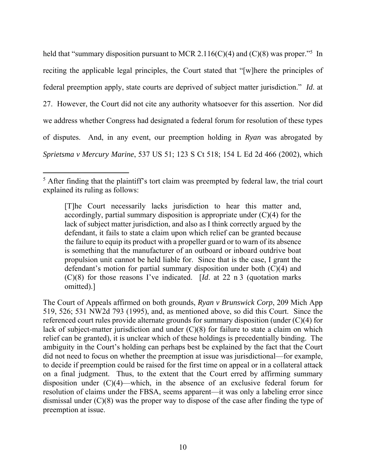held that "summary disposition pursuant to MCR 2.116(C)(4) and (C)(8) was proper."<sup>5</sup> In reciting the applicable legal principles, the Court stated that "[w]here the principles of federal preemption apply, state courts are deprived of subject matter jurisdiction." *Id*. at 27. However, the Court did not cite any authority whatsoever for this assertion. Nor did we address whether Congress had designated a federal forum for resolution of these types of disputes. And, in any event, our preemption holding in *Ryan* was abrogated by *Sprietsma v Mercury Marine*, 537 US 51; 123 S Ct 518; 154 L Ed 2d 466 (2002), which

 $\overline{a}$ 

The Court of Appeals affirmed on both grounds, *Ryan v Brunswick Corp*, 209 Mich App 519, 526; 531 NW2d 793 (1995), and, as mentioned above, so did this Court. Since the referenced court rules provide alternate grounds for summary disposition (under (C)(4) for lack of subject-matter jurisdiction and under (C)(8) for failure to state a claim on which relief can be granted), it is unclear which of these holdings is precedentially binding. The ambiguity in the Court's holding can perhaps best be explained by the fact that the Court did not need to focus on whether the preemption at issue was jurisdictional—for example, to decide if preemption could be raised for the first time on appeal or in a collateral attack on a final judgment. Thus, to the extent that the Court erred by affirming summary disposition under  $(C)(4)$ —which, in the absence of an exclusive federal forum for resolution of claims under the FBSA, seems apparent—it was only a labeling error since dismissal under (C)(8) was the proper way to dispose of the case after finding the type of preemption at issue.

 $<sup>5</sup>$  After finding that the plaintiff's tort claim was preempted by federal law, the trial court</sup> explained its ruling as follows:

<sup>[</sup>T]he Court necessarily lacks jurisdiction to hear this matter and, accordingly, partial summary disposition is appropriate under  $(C)(4)$  for the lack of subject matter jurisdiction, and also as I think correctly argued by the defendant, it fails to state a claim upon which relief can be granted because the failure to equip its product with a propeller guard or to warn of its absence is something that the manufacturer of an outboard or inboard outdrive boat propulsion unit cannot be held liable for. Since that is the case, I grant the defendant's motion for partial summary disposition under both (C)(4) and (C)(8) for those reasons I've indicated. [*Id*. at 22 n 3 (quotation marks omitted).]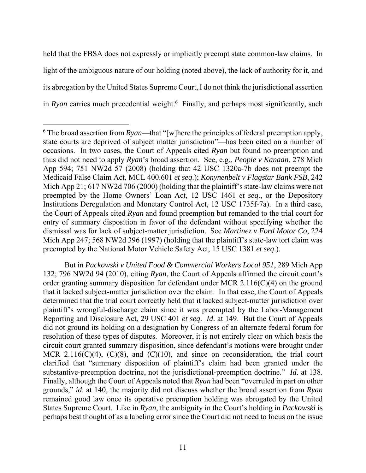held that the FBSA does not expressly or implicitly preempt state common-law claims. In light of the ambiguous nature of our holding (noted above), the lack of authority for it, and its abrogation by the United States Supreme Court, I do not think the jurisdictional assertion in *Ryan* carries much precedential weight.<sup>6</sup> Finally, and perhaps most significantly, such

But in *Packowski v United Food & Commercial Workers Local 951*, 289 Mich App 132; 796 NW2d 94 (2010), citing *Ryan*, the Court of Appeals affirmed the circuit court's order granting summary disposition for defendant under MCR 2.116(C)(4) on the ground that it lacked subject-matter jurisdiction over the claim. In that case, the Court of Appeals determined that the trial court correctly held that it lacked subject-matter jurisdiction over plaintiff's wrongful-discharge claim since it was preempted by the Labor-Management Reporting and Disclosure Act, 29 USC 401 *et seq*. *Id*. at 149. But the Court of Appeals did not ground its holding on a designation by Congress of an alternate federal forum for resolution of these types of disputes. Moreover, it is not entirely clear on which basis the circuit court granted summary disposition, since defendant's motions were brought under MCR 2.116( $C$ )(4), ( $C$ )(8), and ( $C$ )(10), and since on reconsideration, the trial court clarified that "summary disposition of plaintiff's claim had been granted under the substantive-preemption doctrine, not the jurisdictional-preemption doctrine." *Id*. at 138. Finally, although the Court of Appeals noted that *Ryan* had been "overruled in part on other grounds," *id*. at 140, the majority did not discuss whether the broad assertion from *Ryan*  remained good law once its operative preemption holding was abrogated by the United States Supreme Court. Like in *Ryan*, the ambiguity in the Court's holding in *Packowski* is perhaps best thought of as a labeling error since the Court did not need to focus on the issue

 $\overline{a}$  $6$  The broad assertion from  $Ryan$ —that "[w]here the principles of federal preemption apply, state courts are deprived of subject matter jurisdiction"—has been cited on a number of occasions. In two cases, the Court of Appeals cited *Ryan* but found no preemption and thus did not need to apply *Ryan*'s broad assertion. See, e.g., *People v Kanaan*, 278 Mich App 594; 751 NW2d 57 (2008) (holding that 42 USC 1320a-7b does not preempt the Medicaid False Claim Act, MCL 400.601 *et seq*.); *Konynenbelt v Flagstar Bank FSB*, 242 Mich App 21; 617 NW2d 706 (2000) (holding that the plaintiff's state-law claims were not preempted by the Home Owners' Loan Act, 12 USC 1461 *et seq*., or the Depository Institutions Deregulation and Monetary Control Act, 12 USC 1735f-7a). In a third case, the Court of Appeals cited *Ryan* and found preemption but remanded to the trial court for entry of summary disposition in favor of the defendant without specifying whether the dismissal was for lack of subject-matter jurisdiction. See *Martinez v Ford Motor Co*, 224 Mich App 247; 568 NW2d 396 (1997) (holding that the plaintiff's state-law tort claim was preempted by the National Motor Vehicle Safety Act, 15 USC 1381 *et seq*.).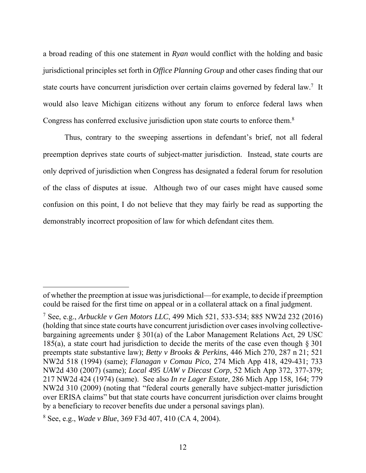a broad reading of this one statement in *Ryan* would conflict with the holding and basic jurisdictional principles set forth in *Office Planning Group* and other cases finding that our state courts have concurrent jurisdiction over certain claims governed by federal law.<sup>7</sup> It would also leave Michigan citizens without any forum to enforce federal laws when Congress has conferred exclusive jurisdiction upon state courts to enforce them.8

Thus, contrary to the sweeping assertions in defendant's brief, not all federal preemption deprives state courts of subject-matter jurisdiction. Instead, state courts are only deprived of jurisdiction when Congress has designated a federal forum for resolution of the class of disputes at issue. Although two of our cases might have caused some confusion on this point, I do not believe that they may fairly be read as supporting the demonstrably incorrect proposition of law for which defendant cites them.

of whether the preemption at issue was jurisdictional—for example, to decide if preemption could be raised for the first time on appeal or in a collateral attack on a final judgment.

<sup>7</sup> See, e.g., *Arbuckle v Gen Motors LLC*, 499 Mich 521, 533-534; 885 NW2d 232 (2016) (holding that since state courts have concurrent jurisdiction over cases involving collectivebargaining agreements under § 301(a) of the Labor Management Relations Act, 29 USC 185(a), a state court had jurisdiction to decide the merits of the case even though  $\S 301$ preempts state substantive law); *Betty v Brooks & Perkins*, 446 Mich 270, 287 n 21; 521 NW2d 518 (1994) (same); *Flanagan v Comau Pico*, 274 Mich App 418, 429-431; 733 NW2d 430 (2007) (same); *Local 495 UAW v Diecast Corp*, 52 Mich App 372, 377-379; 217 NW2d 424 (1974) (same). See also *In re Lager Estate*, 286 Mich App 158, 164; 779 NW2d 310 (2009) (noting that "federal courts generally have subject-matter jurisdiction over ERISA claims" but that state courts have concurrent jurisdiction over claims brought by a beneficiary to recover benefits due under a personal savings plan).

<sup>8</sup> See, e.g., *Wade v Blue*, 369 F3d 407, 410 (CA 4, 2004).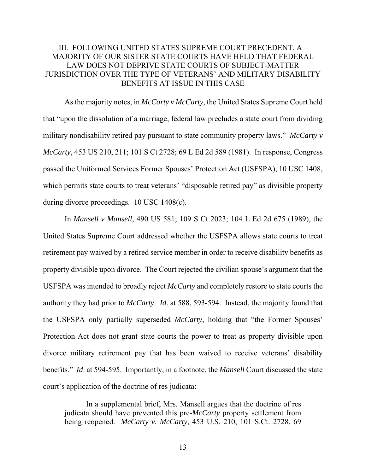# III. FOLLOWING UNITED STATES SUPREME COURT PRECEDENT, A MAJORITY OF OUR SISTER STATE COURTS HAVE HELD THAT FEDERAL LAW DOES NOT DEPRIVE STATE COURTS OF SUBJECT-MATTER JURISDICTION OVER THE TYPE OF VETERANS' AND MILITARY DISABILITY BENEFITS AT ISSUE IN THIS CASE

As the majority notes, in *McCarty v McCarty*, the United States Supreme Court held that "upon the dissolution of a marriage, federal law precludes a state court from dividing military nondisability retired pay pursuant to state community property laws." *McCarty v McCarty*, 453 US 210, 211; 101 S Ct 2728; 69 L Ed 2d 589 (1981). In response, Congress passed the Uniformed Services Former Spouses' Protection Act (USFSPA), 10 USC 1408, which permits state courts to treat veterans' "disposable retired pay" as divisible property during divorce proceedings. 10 USC 1408(c).

In *Mansell v Mansell*, 490 US 581; 109 S Ct 2023; 104 L Ed 2d 675 (1989), the United States Supreme Court addressed whether the USFSPA allows state courts to treat retirement pay waived by a retired service member in order to receive disability benefits as property divisible upon divorce. The Court rejected the civilian spouse's argument that the USFSPA was intended to broadly reject *McCarty* and completely restore to state courts the authority they had prior to *McCarty*. *Id*. at 588, 593-594. Instead, the majority found that the USFSPA only partially superseded *McCarty*, holding that "the Former Spouses' Protection Act does not grant state courts the power to treat as property divisible upon divorce military retirement pay that has been waived to receive veterans' disability benefits." *Id*. at 594-595. Importantly, in a footnote, the *Mansell* Court discussed the state court's application of the doctrine of res judicata:

In a supplemental brief, Mrs. Mansell argues that the doctrine of res judicata should have prevented this pre-*McCarty* property settlement from being reopened. *McCarty v. McCarty*, 453 U.S. 210, 101 S.Ct. 2728, 69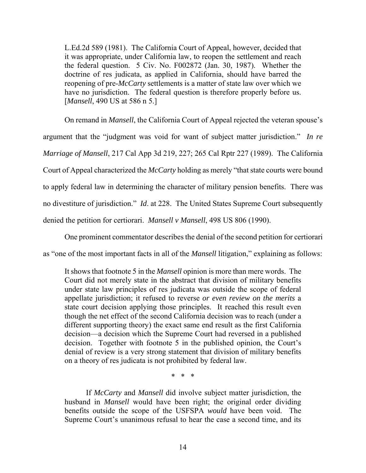L.Ed.2d 589 (1981). The California Court of Appeal, however, decided that it was appropriate, under California law, to reopen the settlement and reach the federal question. 5 Civ. No. F002872 (Jan. 30, 1987). Whether the doctrine of res judicata, as applied in California, should have barred the reopening of pre-*McCarty* settlements is a matter of state law over which we have no jurisdiction. The federal question is therefore properly before us. [*Mansell*, 490 US at 586 n 5.]

On remand in *Mansell*, the California Court of Appeal rejected the veteran spouse's argument that the "judgment was void for want of subject matter jurisdiction." *In re Marriage of Mansell*, 217 Cal App 3d 219, 227; 265 Cal Rptr 227 (1989). The California Court of Appeal characterized the *McCarty* holding as merely "that state courts were bound to apply federal law in determining the character of military pension benefits. There was no divestiture of jurisdiction." *Id*. at 228. The United States Supreme Court subsequently denied the petition for certiorari. *Mansell v Mansell*, 498 US 806 (1990).

One prominent commentator describes the denial of the second petition for certiorari as "one of the most important facts in all of the *Mansell* litigation," explaining as follows:

It shows that footnote 5 in the *Mansell* opinion is more than mere words. The Court did not merely state in the abstract that division of military benefits under state law principles of res judicata was outside the scope of federal appellate jurisdiction; it refused to reverse *or even review on the merits* a state court decision applying those principles. It reached this result even though the net effect of the second California decision was to reach (under a different supporting theory) the exact same end result as the first California decision—a decision which the Supreme Court had reversed in a published decision. Together with footnote 5 in the published opinion, the Court's denial of review is a very strong statement that division of military benefits on a theory of res judicata is not prohibited by federal law.

\* \* \*

If *McCarty* and *Mansell* did involve subject matter jurisdiction, the husband in *Mansell* would have been right; the original order dividing benefits outside the scope of the USFSPA *would* have been void. The Supreme Court's unanimous refusal to hear the case a second time, and its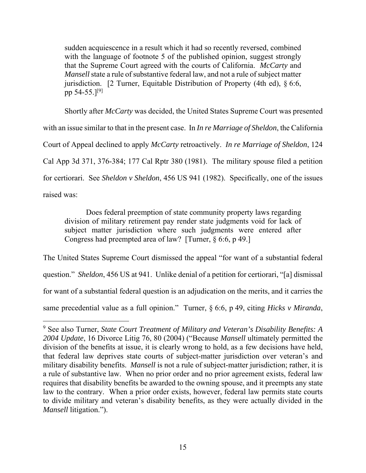sudden acquiescence in a result which it had so recently reversed, combined with the language of footnote 5 of the published opinion, suggest strongly that the Supreme Court agreed with the courts of California. *McCarty* and *Mansell* state a rule of substantive federal law, and not a rule of subject matter jurisdiction. [2 Turner, Equitable Distribution of Property (4th ed), § 6:6, pp 54-55.]<sup>[9]</sup>

Shortly after *McCarty* was decided, the United States Supreme Court was presented with an issue similar to that in the present case. In *In re Marriage of Sheldon*, the California Court of Appeal declined to apply *McCarty* retroactively. *In re Marriage of Sheldon*, 124 Cal App 3d 371, 376-384; 177 Cal Rptr 380 (1981). The military spouse filed a petition for certiorari. See *Sheldon v Sheldon*, 456 US 941 (1982). Specifically, one of the issues raised was:

Does federal preemption of state community property laws regarding division of military retirement pay render state judgments void for lack of subject matter jurisdiction where such judgments were entered after Congress had preempted area of law? [Turner, § 6:6, p 49.]

The United States Supreme Court dismissed the appeal "for want of a substantial federal question." *Sheldon*, 456 US at 941. Unlike denial of a petition for certiorari, "[a] dismissal for want of a substantial federal question is an adjudication on the merits, and it carries the same precedential value as a full opinion." Turner, § 6:6, p 49, citing *Hicks v Miranda*,

<sup>9</sup> See also Turner, *State Court Treatment of Military and Veteran's Disability Benefits: A 2004 Update*, 16 Divorce Litig 76, 80 (2004) ("Because *Mansell* ultimately permitted the division of the benefits at issue, it is clearly wrong to hold, as a few decisions have held, that federal law deprives state courts of subject-matter jurisdiction over veteran's and military disability benefits. *Mansell* is not a rule of subject-matter jurisdiction; rather, it is a rule of substantive law. When no prior order and no prior agreement exists, federal law requires that disability benefits be awarded to the owning spouse, and it preempts any state law to the contrary. When a prior order exists, however, federal law permits state courts to divide military and veteran's disability benefits, as they were actually divided in the *Mansell* litigation.").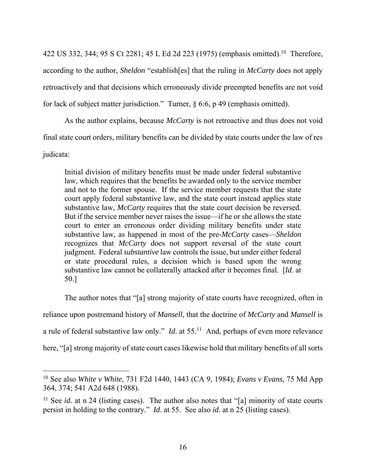422 US 332, 344; 95 S Ct 2281; 45 L Ed 2d 223 (1975) (emphasis omitted).<sup>10</sup> Therefore, according to the author, *Sheldon* "establish[es] that the ruling in *McCarty* does not apply retroactively and that decisions which erroneously divide preempted benefits are not void for lack of subject matter jurisdiction." Turner, § 6:6, p 49 (emphasis omitted).

As the author explains, because *McCarty* is not retroactive and thus does not void final state court orders, military benefits can be divided by state courts under the law of res judicata:

Initial division of military benefits must be made under federal substantive law, which requires that the benefits be awarded only to the service member and not to the former spouse. If the service member requests that the state court apply federal substantive law, and the state court instead applies state substantive law, *McCarty* requires that the state court decision be reversed. But if the service member never raises the issue—if he or she allows the state court to enter an erroneous order dividing military benefits under state substantive law, as happened in most of the pre-*McCarty* cases—*Sheldon* recognizes that *McCarty* does not support reversal of the state court judgment. Federal *substantive* law controls the issue, but under either federal or state procedural rules, a decision which is based upon the wrong substantive law cannot be collaterally attacked after it becomes final. [*Id*. at 50.]

The author notes that "[a] strong majority of state courts have recognized, often in reliance upon postremand history of *Mansell*, that the doctrine of *McCarty* and *Mansell* is a rule of federal substantive law only." *Id*. at 55.11 And, perhaps of even more relevance here, "[a] strong majority of state court cases likewise hold that military benefits of all sorts

<sup>10</sup> See also *White v White*, 731 F2d 1440, 1443 (CA 9, 1984); *Evans v Evans*, 75 Md App 364, 374; 541 A2d 648 (1988).

<sup>&</sup>lt;sup>11</sup> See *id*. at n 24 (listing cases). The author also notes that "[a] minority of state courts persist in holding to the contrary." *Id*. at 55. See also *id*. at n 25 (listing cases).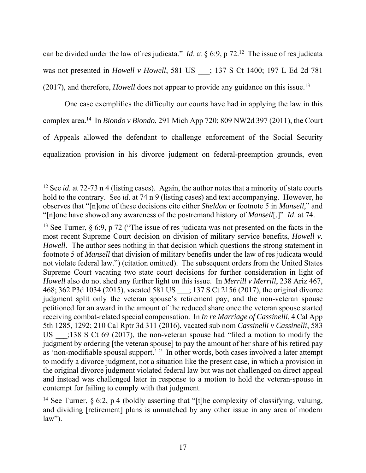can be divided under the law of res judicata." *Id.* at  $\S$  6:9, p 72.<sup>12</sup> The issue of res judicata was not presented in *Howell v Howell*, 581 US \_\_\_; 137 S Ct 1400; 197 L Ed 2d 781 (2017), and therefore, *Howell* does not appear to provide any guidance on this issue.<sup>13</sup>

One case exemplifies the difficulty our courts have had in applying the law in this complex area.14 In *Biondo v Biondo*, 291 Mich App 720; 809 NW2d 397 (2011), the Court of Appeals allowed the defendant to challenge enforcement of the Social Security equalization provision in his divorce judgment on federal-preemption grounds, even

<sup>&</sup>lt;sup>12</sup> See *id*. at 72-73 n 4 (listing cases). Again, the author notes that a minority of state courts hold to the contrary. See *id*. at 74 n 9 (listing cases) and text accompanying. However, he observes that "[n]one of these decisions cite either *Sheldon* or footnote 5 in *Mansell*," and "[n]one have showed any awareness of the postremand history of *Mansell*[.]" *Id*. at 74.

<sup>&</sup>lt;sup>13</sup> See Turner,  $\S 6:9$ , p 72 ("The issue of res judicata was not presented on the facts in the most recent Supreme Court decision on division of military service benefits, *Howell v. Howell*. The author sees nothing in that decision which questions the strong statement in footnote 5 of *Mansell* that division of military benefits under the law of res judicata would not violate federal law.") (citation omitted). The subsequent orders from the United States Supreme Court vacating two state court decisions for further consideration in light of *Howell* also do not shed any further light on this issue. In *Merrill v Merrill*, 238 Ariz 467, 468; 362 P3d 1034 (2015), vacated 581 US : 137 S Ct 2156 (2017), the original divorce judgment split only the veteran spouse's retirement pay, and the non-veteran spouse petitioned for an award in the amount of the reduced share once the veteran spouse started receiving combat-related special compensation. In *In re Marriage of Cassinelli*, 4 Cal App 5th 1285, 1292; 210 Cal Rptr 3d 311 (2016), vacated sub nom *Cassinelli v Cassinelli*, 583 US :138 S Ct 69 (2017), the non-veteran spouse had "filed a motion to modify the judgment by ordering [the veteran spouse] to pay the amount of her share of his retired pay as 'non-modifiable spousal support.' " In other words, both cases involved a later attempt to modify a divorce judgment, not a situation like the present case, in which a provision in the original divorce judgment violated federal law but was not challenged on direct appeal and instead was challenged later in response to a motion to hold the veteran-spouse in contempt for failing to comply with that judgment.

<sup>&</sup>lt;sup>14</sup> See Turner, § 6:2, p 4 (boldly asserting that "[t]he complexity of classifying, valuing, and dividing [retirement] plans is unmatched by any other issue in any area of modern  $law$ ").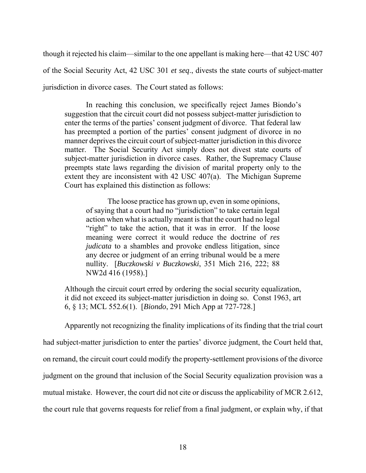though it rejected his claim—similar to the one appellant is making here—that 42 USC 407 of the Social Security Act, 42 USC 301 *et seq*., divests the state courts of subject-matter jurisdiction in divorce cases. The Court stated as follows:

In reaching this conclusion, we specifically reject James Biondo's suggestion that the circuit court did not possess subject-matter jurisdiction to enter the terms of the parties' consent judgment of divorce. That federal law has preempted a portion of the parties' consent judgment of divorce in no manner deprives the circuit court of subject-matter jurisdiction in this divorce matter. The Social Security Act simply does not divest state courts of subject-matter jurisdiction in divorce cases. Rather, the Supremacy Clause preempts state laws regarding the division of marital property only to the extent they are inconsistent with 42 USC 407(a). The Michigan Supreme Court has explained this distinction as follows:

The loose practice has grown up, even in some opinions, of saying that a court had no "jurisdiction" to take certain legal action when what is actually meant is that the court had no legal "right" to take the action, that it was in error. If the loose meaning were correct it would reduce the doctrine of *res judicata* to a shambles and provoke endless litigation, since any decree or judgment of an erring tribunal would be a mere nullity. [*Buczkowski v Buczkowski*, 351 Mich 216, 222; 88 NW2d 416 (1958).]

Although the circuit court erred by ordering the social security equalization, it did not exceed its subject-matter jurisdiction in doing so. Const 1963, art 6, § 13; MCL 552.6(1). [*Biondo*, 291 Mich App at 727-728.]

Apparently not recognizing the finality implications of its finding that the trial court had subject-matter jurisdiction to enter the parties' divorce judgment, the Court held that, on remand, the circuit court could modify the property-settlement provisions of the divorce judgment on the ground that inclusion of the Social Security equalization provision was a mutual mistake. However, the court did not cite or discuss the applicability of MCR 2.612, the court rule that governs requests for relief from a final judgment, or explain why, if that